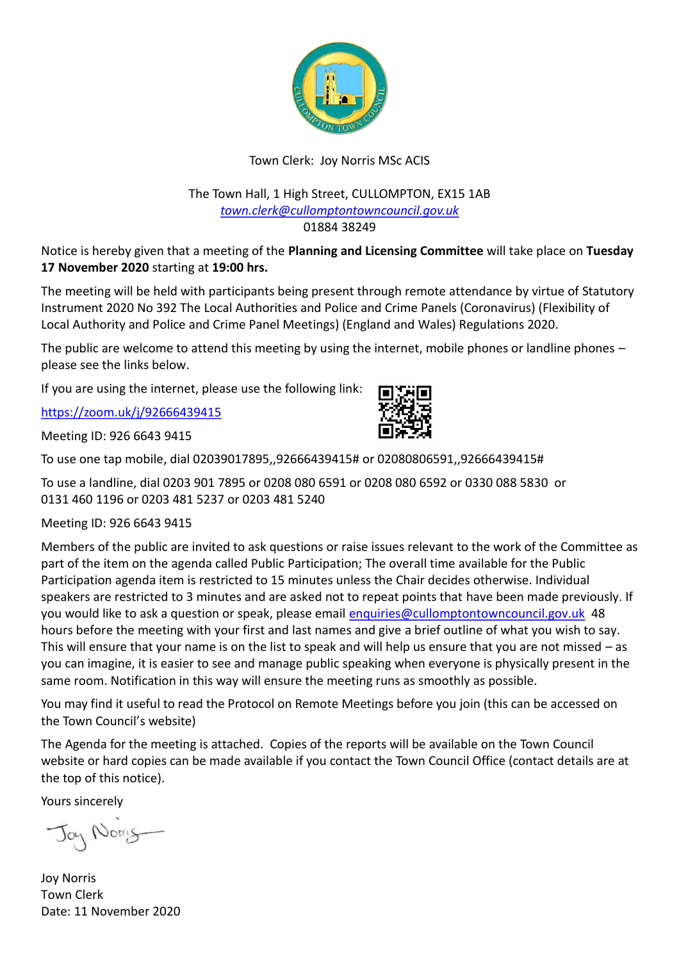

## Town Clerk: Joy Norris MSc ACIS

#### The Town Hall, 1 High Street, CULLOMPTON, EX15 1AB *[town.clerk@cullomptontowncouncil.gov.uk](mailto:town.clerk@cullomptontowncouncil.gov.uk)* 01884 38249

Notice is hereby given that a meeting of the **Planning and Licensing Committee** will take place on **Tuesday 17 November 2020** starting at **19:00 hrs.**

The meeting will be held with participants being present through remote attendance by virtue of Statutory Instrument 2020 No 392 The Local Authorities and Police and Crime Panels (Coronavirus) (Flexibility of Local Authority and Police and Crime Panel Meetings) (England and Wales) Regulations 2020.

The public are welcome to attend this meeting by using the internet, mobile phones or landline phones – please see the links below.

If you are using the internet, please use the following link:

<https://zoom.uk/j/92666439415>

Meeting ID: 926 6643 9415



To use a landline, dial 0203 901 7895 or 0208 080 6591 or 0208 080 6592 or 0330 088 5830 or 0131 460 1196 or 0203 481 5237 or 0203 481 5240

Meeting ID: 926 6643 9415

Members of the public are invited to ask questions or raise issues relevant to the work of the Committee as part of the item on the agenda called Public Participation; The overall time available for the Public Participation agenda item is restricted to 15 minutes unless the Chair decides otherwise. Individual speakers are restricted to 3 minutes and are asked not to repeat points that have been made previously. If you would like to ask a question or speak, please email [enquiries@cullomptontowncouncil.gov.uk](mailto:enquiries@cullomptontowncouncil.gov.uk) 48 hours before the meeting with your first and last names and give a brief outline of what you wish to say. This will ensure that your name is on the list to speak and will help us ensure that you are not missed – as you can imagine, it is easier to see and manage public speaking when everyone is physically present in the same room. Notification in this way will ensure the meeting runs as smoothly as possible.

You may find it useful to read the Protocol on Remote Meetings before you join (this can be accessed on the Town Council's website)

The Agenda for the meeting is attached. Copies of the reports will be available on the Town Council website or hard copies can be made available if you contact the Town Council Office (contact details are at the top of this notice).

Yours sincerely

Jay Norris

Joy Norris Town Clerk Date: 11 November 2020